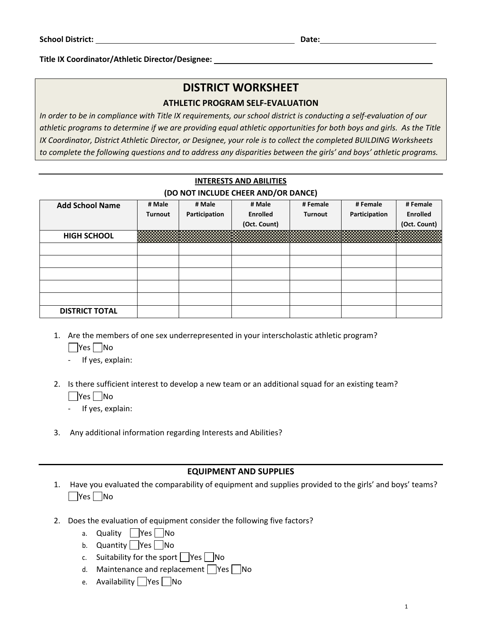**Title IX Coordinator/Athletic Director/Designee:** 

# **DISTRICT WORKSHEET**

#### **ATHLETIC PROGRAM SELF‐EVALUATION**

*In order to be in compliance with Title IX requirements, our school district is conducting a self‐evaluation of our athletic programs to determine if we are providing equal athletic opportunities for both boys and girls. As the Title IX Coordinator, District Athletic Director, or Designee, your role is to collect the completed BUILDING Worksheets to complete the following questions and to address any disparities between the girls' and boys' athletic programs.* 

## **INTERESTS AND ABILITIES (DO NOT INCLUDE CHEER AND/OR DANCE)**

| <b>Add School Name</b> | # Male         | # Male        | # Male          | # Female       | # Female      | # Female        |
|------------------------|----------------|---------------|-----------------|----------------|---------------|-----------------|
|                        | <b>Turnout</b> | Participation | <b>Enrolled</b> | <b>Turnout</b> | Participation | <b>Enrolled</b> |
|                        |                |               | (Oct. Count)    |                |               | (Oct. Count)    |
| <b>HIGH SCHOOL</b>     |                |               |                 |                |               |                 |
|                        |                |               |                 |                |               |                 |
|                        |                |               |                 |                |               |                 |
|                        |                |               |                 |                |               |                 |
|                        |                |               |                 |                |               |                 |
|                        |                |               |                 |                |               |                 |
| <b>DISTRICT TOTAL</b>  |                |               |                 |                |               |                 |

- 1. Are the members of one sex underrepresented in your interscholastic athletic program?
	- $\Box$ Yes  $\Box$ No
	- ‐ If yes, explain:
- 2. Is there sufficient interest to develop a new team or an additional squad for an existing team?  $\Box$ Yes  $\Box$ No
	- ‐ If yes, explain:
- 3. Any additional information regarding Interests and Abilities?

#### **EQUIPMENT AND SUPPLIES**

- 1. Have you evaluated the comparability of equipment and supplies provided to the girls' and boys' teams?  $\Box$ Yes  $\Box$ No
- 2. Does the evaluation of equipment consider the following five factors?
	- a. Quality  $\Box$  Yes  $\Box$  No
	- b. Quantity  $\sqrt{Y}$  Yes  $\sqrt{N}$  No
	- c. Suitability for the sport  $\Box$  Yes  $\Box$  No
	- d. Maintenance and replacement  $\Box$  Yes  $\Box$  No
	- e. Availability Yes No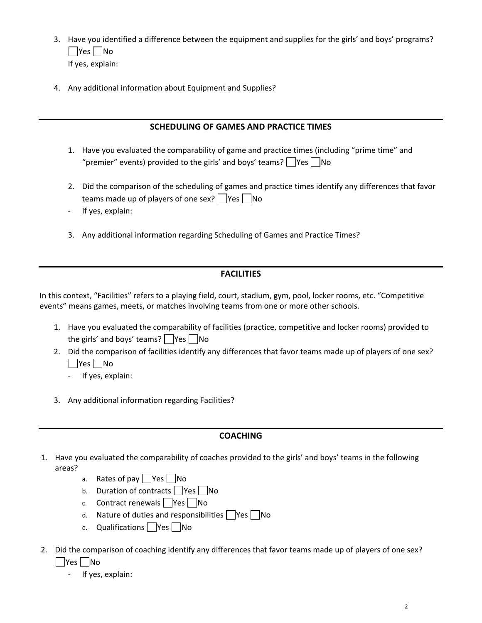- 3. Have you identified a difference between the equipment and supplies for the girls' and boys' programs?  $\Box$ Yes  $\Box$ No If yes, explain:
- 4. Any additional information about Equipment and Supplies?

## **SCHEDULING OF GAMES AND PRACTICE TIMES**

- 1. Have you evaluated the comparability of game and practice times (including "prime time" and "premier" events) provided to the girls' and boys' teams?  $\Box$ Yes  $\Box$ No
- 2. Did the comparison of the scheduling of games and practice times identify any differences that favor teams made up of players of one sex?  $\Box$  Yes  $\Box$  No
- ‐ If yes, explain:
- 3. Any additional information regarding Scheduling of Games and Practice Times?

## **FACILITIES**

In this context, "Facilities" refers to a playing field, court, stadium, gym, pool, locker rooms, etc. "Competitive events" means games, meets, or matches involving teams from one or more other schools.

- 1. Have you evaluated the comparability of facilities (practice, competitive and locker rooms) provided to the girls' and boys' teams?  $|$   $|Yes|$   $|No$
- 2. Did the comparison of facilities identify any differences that favor teams made up of players of one sex? | Yes | No
	- ‐ If yes, explain:
- 3. Any additional information regarding Facilities?

## **COACHING**

- 1. Have you evaluated the comparability of coaches provided to the girls' and boys' teams in the following areas?
	- a. Rates of pay  $\Box$  Yes  $\Box$  No
	- b. Duration of contracts  $\Box$  Yes  $\Box$  No
	- c. Contract renewals  $\Box$  Yes  $\Box$  No
	- d. Nature of duties and responsibilities  $\Box$  Yes  $\Box$  No
	- e. Qualifications Yes No
- 2. Did the comparison of coaching identify any differences that favor teams made up of players of one sex? **No** 
	- ‐ If yes, explain: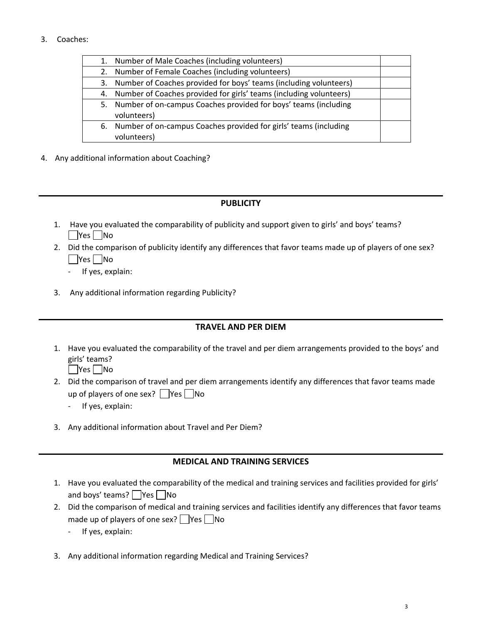#### 3. Coaches:

| 1. | Number of Male Coaches (including volunteers)                         |  |
|----|-----------------------------------------------------------------------|--|
|    | 2. Number of Female Coaches (including volunteers)                    |  |
|    | 3. Number of Coaches provided for boys' teams (including volunteers)  |  |
|    | 4. Number of Coaches provided for girls' teams (including volunteers) |  |
|    | 5. Number of on-campus Coaches provided for boys' teams (including    |  |
|    | volunteers)                                                           |  |
|    | 6. Number of on-campus Coaches provided for girls' teams (including   |  |
|    | volunteers)                                                           |  |

4. Any additional information about Coaching?

#### **PUBLICITY**

- 1. Have you evaluated the comparability of publicity and support given to girls' and boys' teams? **No**
- 2. Did the comparison of publicity identify any differences that favor teams made up of players of one sex?  $\Box$ Yes  $\Box$ No
	- ‐ If yes, explain:
- 3. Any additional information regarding Publicity?

## **TRAVEL AND PER DIEM**

- 1. Have you evaluated the comparability of the travel and per diem arrangements provided to the boys' and girls' teams?
	- $\Box$ Yes  $\Box$ No
- 2. Did the comparison of travel and per diem arrangements identify any differences that favor teams made up of players of one sex?  $\Box$  Yes  $\Box$  No
	- ‐ If yes, explain:
- 3. Any additional information about Travel and Per Diem?

#### **MEDICAL AND TRAINING SERVICES**

- 1. Have you evaluated the comparability of the medical and training services and facilities provided for girls' and boys' teams?  $\Box$  Yes  $\Box$  No
- 2. Did the comparison of medical and training services and facilities identify any differences that favor teams made up of players of one sex?  $\Box$  Yes  $\Box$  No
	- ‐ If yes, explain:
- 3. Any additional information regarding Medical and Training Services?